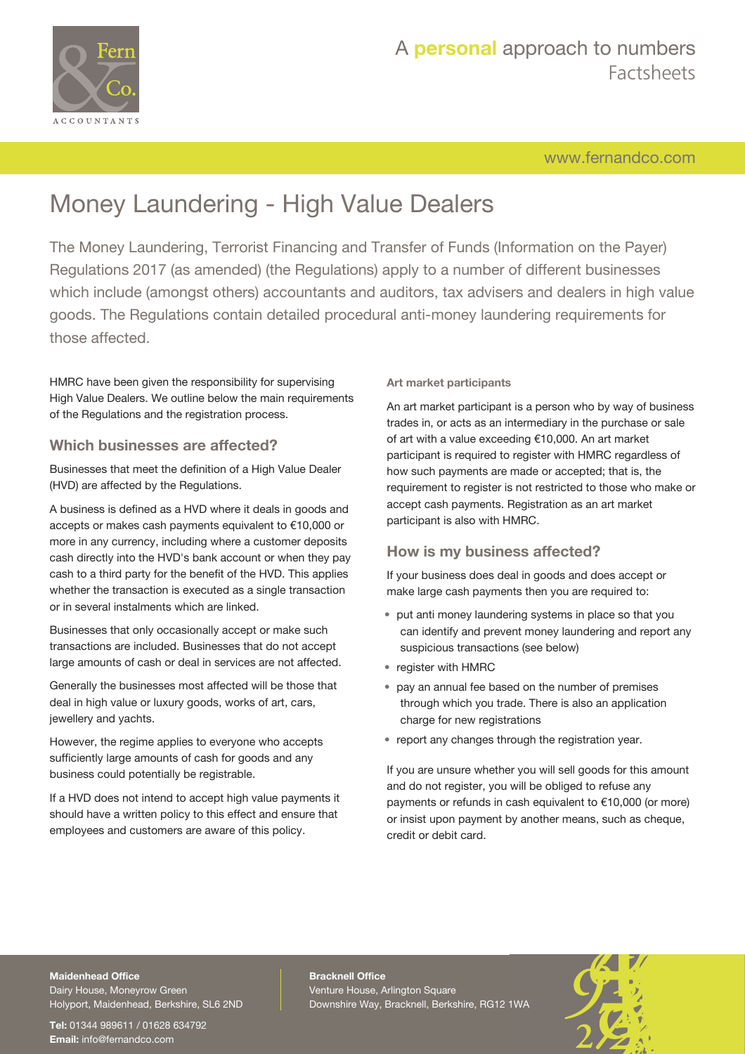

## [www.fernandco.com](http://www.fernandco.com)

# Money Laundering - High Value Dealers

The Money Laundering, Terrorist Financing and Transfer of Funds (Information on the Payer) Regulations 2017 (as amended) (the Regulations) apply to a number of different businesses which include (amongst others) accountants and auditors, tax advisers and dealers in high value goods. The Regulations contain detailed procedural anti-money laundering requirements for those affected.

HMRC have been given the responsibility for supervising High Value Dealers. We outline below the main requirements of the Regulations and the registration process.

### **Which businesses are affected?**

Businesses that meet the definition of a High Value Dealer (HVD) are affected by the Regulations.

A business is defined as a HVD where it deals in goods and accepts or makes cash payments equivalent to €10,000 or more in any currency, including where a customer deposits cash directly into the HVD's bank account or when they pay cash to a third party for the benefit of the HVD. This applies whether the transaction is executed as a single transaction or in several instalments which are linked.

Businesses that only occasionally accept or make such transactions are included. Businesses that do not accept large amounts of cash or deal in services are not affected.

Generally the businesses most affected will be those that deal in high value or luxury goods, works of art, cars, jewellery and yachts.

However, the regime applies to everyone who accepts sufficiently large amounts of cash for goods and any business could potentially be registrable.

If a HVD does not intend to accept high value payments it should have a written policy to this effect and ensure that employees and customers are aware of this policy.

#### **Art market participants**

An art market participant is a person who by way of business trades in, or acts as an intermediary in the purchase or sale of art with a value exceeding €10,000. An art market participant is required to register with HMRC regardless of how such payments are made or accepted; that is, the requirement to register is not restricted to those who make or accept cash payments. Registration as an art market participant is also with HMRC.

### **How is my business affected?**

If your business does deal in goods and does accept or make large cash payments then you are required to:

- put anti money laundering systems in place so that you can identify and prevent money laundering and report any suspicious transactions (see below)
- register with HMRC
- pay an annual fee based on the number of premises through which you trade. There is also an application charge for new registrations
- report any changes through the registration year.

If you are unsure whether you will sell goods for this amount and do not register, you will be obliged to refuse any payments or refunds in cash equivalent to €10,000 (or more) or insist upon payment by another means, such as cheque, credit or debit card.

## **Maidenhead Office**

Dairy House, Moneyrow Green Holyport, Maidenhead, Berkshire, SL6 2ND

**Tel:** 01344 989611 / 01628 634792 **Email:** [info@fernandco.com](mailto:info@fernandco.com)

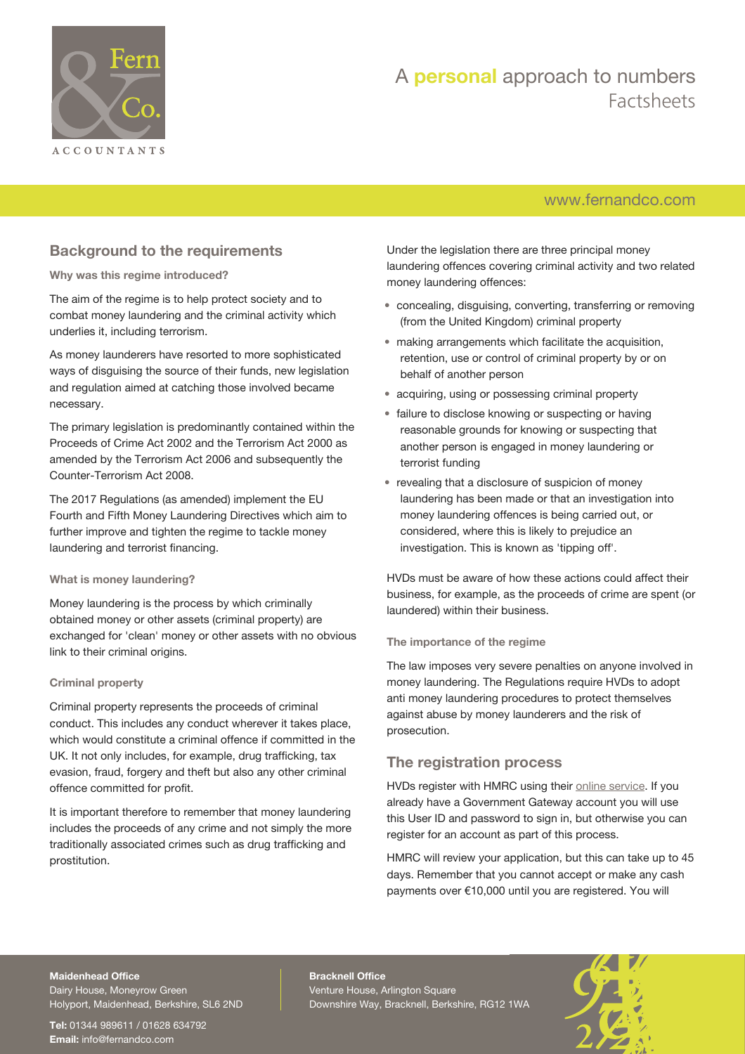

## [www.fernandco.com](http://www.fernandco.com)

## **Background to the requirements**

#### **Why was this regime introduced?**

The aim of the regime is to help protect society and to combat money laundering and the criminal activity which underlies it, including terrorism.

As money launderers have resorted to more sophisticated ways of disguising the source of their funds, new legislation and regulation aimed at catching those involved became necessary.

The primary legislation is predominantly contained within the Proceeds of Crime Act 2002 and the Terrorism Act 2000 as amended by the Terrorism Act 2006 and subsequently the Counter-Terrorism Act 2008.

The 2017 Regulations (as amended) implement the EU Fourth and Fifth Money Laundering Directives which aim to further improve and tighten the regime to tackle money laundering and terrorist financing.

#### **What is money laundering?**

Money laundering is the process by which criminally obtained money or other assets (criminal property) are exchanged for 'clean' money or other assets with no obvious link to their criminal origins.

#### **Criminal property**

Criminal property represents the proceeds of criminal conduct. This includes any conduct wherever it takes place, which would constitute a criminal offence if committed in the UK. It not only includes, for example, drug trafficking, tax evasion, fraud, forgery and theft but also any other criminal offence committed for profit.

It is important therefore to remember that money laundering includes the proceeds of any crime and not simply the more traditionally associated crimes such as drug trafficking and prostitution.

Under the legislation there are three principal money laundering offences covering criminal activity and two related money laundering offences:

- concealing, disguising, converting, transferring or removing (from the United Kingdom) criminal property
- making arrangements which facilitate the acquisition, retention, use or control of criminal property by or on behalf of another person
- acquiring, using or possessing criminal property
- failure to disclose knowing or suspecting or having reasonable grounds for knowing or suspecting that another person is engaged in money laundering or terrorist funding
- revealing that a disclosure of suspicion of money laundering has been made or that an investigation into money laundering offences is being carried out, or considered, where this is likely to prejudice an investigation. This is known as 'tipping off'.

HVDs must be aware of how these actions could affect their business, for example, as the proceeds of crime are spent (or laundered) within their business.

#### **The importance of the regime**

The law imposes very severe penalties on anyone involved in money laundering. The Regulations require HVDs to adopt anti money laundering procedures to protect themselves against abuse by money launderers and the risk of prosecution.

### **The registration process**

HVDs register with HMRC using their [online service.](http://www.gov.uk/guidance/money-laundering-regulations-register-with-hmrc) If you already have a Government Gateway account you will use this User ID and password to sign in, but otherwise you can register for an account as part of this process.

HMRC will review your application, but this can take up to 45 days. Remember that you cannot accept or make any cash payments over €10,000 until you are registered. You will

### **Maidenhead Office**

Dairy House, Moneyrow Green Holyport, Maidenhead, Berkshire, SL6 2ND

**Tel:** 01344 989611 / 01628 634792 **Email:** [info@fernandco.com](mailto:info@fernandco.com)

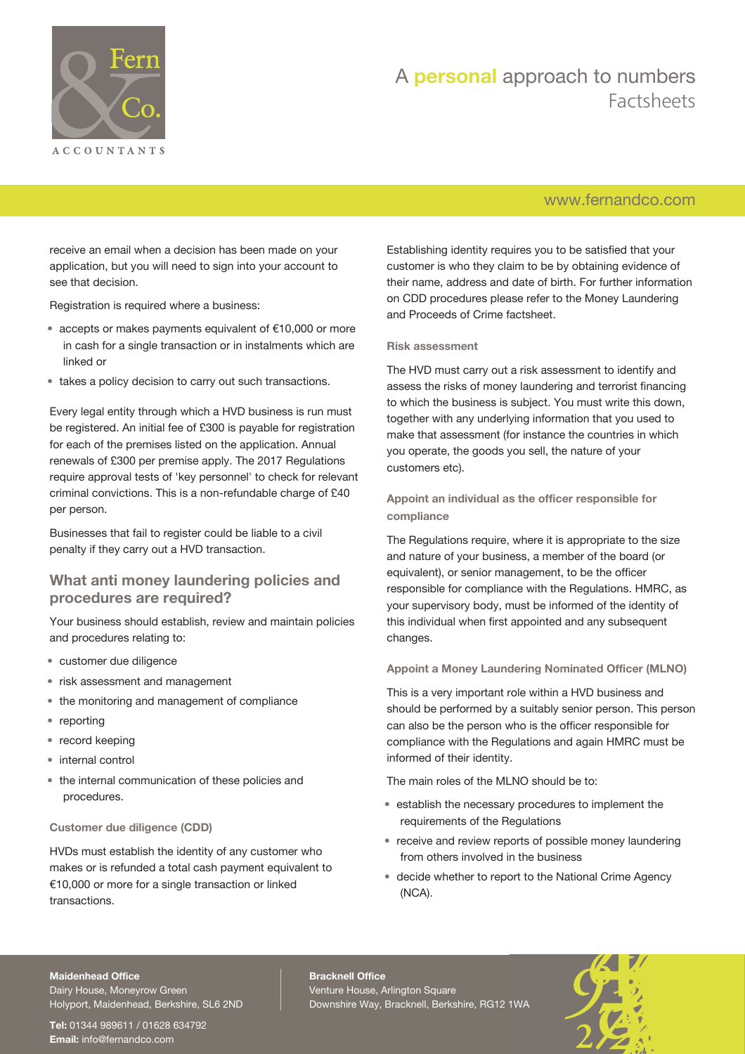

## [www.fernandco.com](http://www.fernandco.com)

receive an email when a decision has been made on your application, but you will need to sign into your account to see that decision.

Registration is required where a business:

- accepts or makes payments equivalent of €10,000 or more in cash for a single transaction or in instalments which are linked or
- takes a policy decision to carry out such transactions.

Every legal entity through which a HVD business is run must be registered. An initial fee of £300 is payable for registration for each of the premises listed on the application. Annual renewals of £300 per premise apply. The 2017 Regulations require approval tests of 'key personnel' to check for relevant criminal convictions. This is a non-refundable charge of £40 per person.

Businesses that fail to register could be liable to a civil penalty if they carry out a HVD transaction.

### **What anti money laundering policies and procedures are required?**

Your business should establish, review and maintain policies and procedures relating to:

- customer due diligence
- risk assessment and management
- the monitoring and management of compliance
- reporting
- record keeping
- internal control
- the internal communication of these policies and procedures.

#### **Customer due diligence (CDD)**

HVDs must establish the identity of any customer who makes or is refunded a total cash payment equivalent to €10,000 or more for a single transaction or linked transactions.

Establishing identity requires you to be satisfied that your customer is who they claim to be by obtaining evidence of their name, address and date of birth. For further information on CDD procedures please refer to the Money Laundering and Proceeds of Crime factsheet.

#### **Risk assessment**

The HVD must carry out a risk assessment to identify and assess the risks of money laundering and terrorist financing to which the business is subject. You must write this down, together with any underlying information that you used to make that assessment (for instance the countries in which you operate, the goods you sell, the nature of your customers etc).

**Appoint an individual as the officer responsible for compliance**

The Regulations require, where it is appropriate to the size and nature of your business, a member of the board (or equivalent), or senior management, to be the officer responsible for compliance with the Regulations. HMRC, as your supervisory body, must be informed of the identity of this individual when first appointed and any subsequent changes.

#### **Appoint a Money Laundering Nominated Officer (MLNO)**

This is a very important role within a HVD business and should be performed by a suitably senior person. This person can also be the person who is the officer responsible for compliance with the Regulations and again HMRC must be informed of their identity.

The main roles of the MLNO should be to:

- establish the necessary procedures to implement the requirements of the Regulations
- receive and review reports of possible money laundering from others involved in the business
- decide whether to report to the National Crime Agency (NCA).

#### **Maidenhead Office**

Dairy House, Moneyrow Green Holyport, Maidenhead, Berkshire, SL6 2ND

**Tel:** 01344 989611 / 01628 634792 **Email:** [info@fernandco.com](mailto:info@fernandco.com)

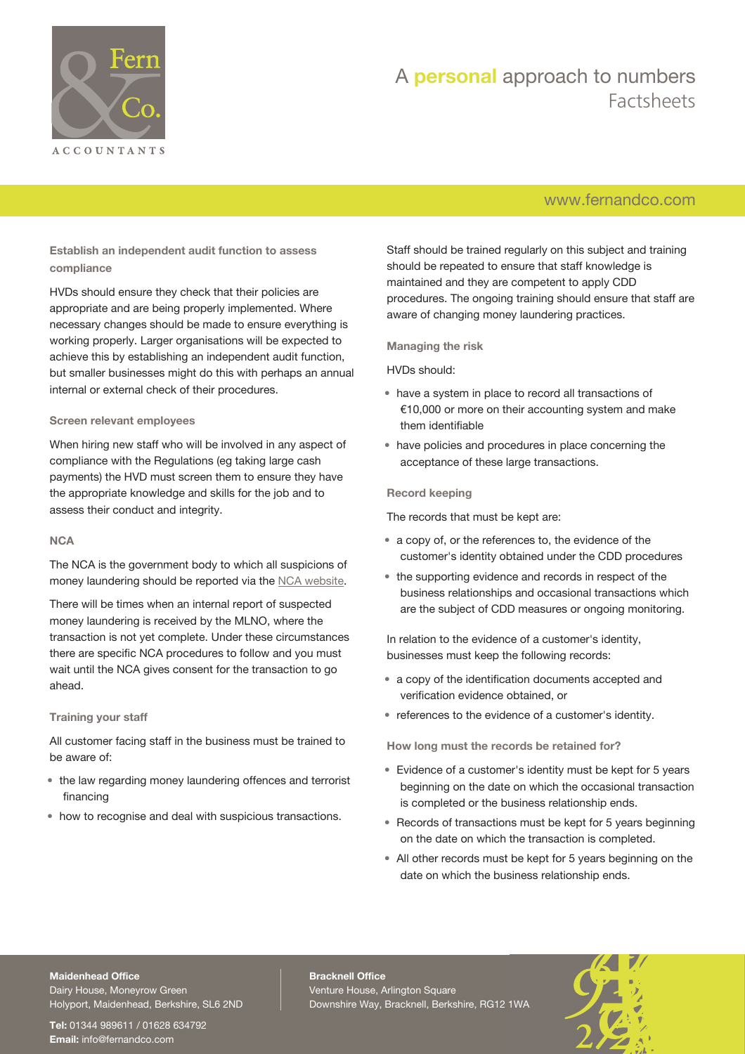

## [www.fernandco.com](http://www.fernandco.com)

**Establish an independent audit function to assess compliance**

HVDs should ensure they check that their policies are appropriate and are being properly implemented. Where necessary changes should be made to ensure everything is working properly. Larger organisations will be expected to achieve this by establishing an independent audit function, but smaller businesses might do this with perhaps an annual internal or external check of their procedures.

#### **Screen relevant employees**

When hiring new staff who will be involved in any aspect of compliance with the Regulations (eg taking large cash payments) the HVD must screen them to ensure they have the appropriate knowledge and skills for the job and to assess their conduct and integrity.

#### **NCA**

The NCA is the government body to which all suspicions of money laundering should be reported via the [NCA website.](http://www.nationalcrimeagency.gov.uk/)

There will be times when an internal report of suspected money laundering is received by the MLNO, where the transaction is not yet complete. Under these circumstances there are specific NCA procedures to follow and you must wait until the NCA gives consent for the transaction to go ahead.

#### **Training your staff**

All customer facing staff in the business must be trained to be aware of:

- the law regarding money laundering offences and terrorist financing
- how to recognise and deal with suspicious transactions.

Staff should be trained regularly on this subject and training should be repeated to ensure that staff knowledge is maintained and they are competent to apply CDD procedures. The ongoing training should ensure that staff are aware of changing money laundering practices.

**Managing the risk**

#### HVDs should:

- have a system in place to record all transactions of €10,000 or more on their accounting system and make them identifiable
- have policies and procedures in place concerning the acceptance of these large transactions.

#### **Record keeping**

The records that must be kept are:

- a copy of, or the references to, the evidence of the customer's identity obtained under the CDD procedures
- the supporting evidence and records in respect of the business relationships and occasional transactions which are the subject of CDD measures or ongoing monitoring.

In relation to the evidence of a customer's identity, businesses must keep the following records:

- a copy of the identification documents accepted and verification evidence obtained, or
- references to the evidence of a customer's identity.

**How long must the records be retained for?**

- Evidence of a customer's identity must be kept for 5 years beginning on the date on which the occasional transaction is completed or the business relationship ends.
- Records of transactions must be kept for 5 years beginning on the date on which the transaction is completed.
- All other records must be kept for 5 years beginning on the date on which the business relationship ends.

## **Maidenhead Office**

Dairy House, Moneyrow Green Holyport, Maidenhead, Berkshire, SL6 2ND

**Tel:** 01344 989611 / 01628 634792 **Email:** [info@fernandco.com](mailto:info@fernandco.com)